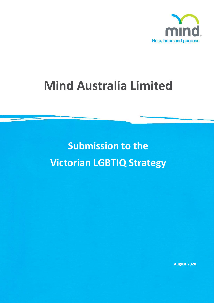

# **Mind Australia Limited**

**Submission to the Victorian LGBTIQ Strategy**

**August 2020**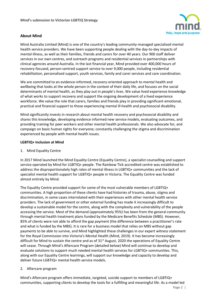

## **About Mind**

Mind Australia Limited (Mind) is one of the country's leading community-managed specialised mental health service providers. We have been supporting people dealing with the day-to-day impacts of mental illness, as well as their families, friends and carers for over 40 years. Our 900 staff deliver services in our own centres, and outreach programs and residential services in partnerships with clinical agencies around Australia. In the last financial year, Mind provided over 400,000 hours of recovery-focused, person-centred support service to over 9,000 people, including residential rehabilitation, personalised support, youth services, family and carer services and care coordination.

We are committed to an evidence-informed, recovery-oriented approach to mental health and wellbeing that looks at the whole person in the context of their daily life, and focuses on the social determinants of mental health, as they play out in people's lives. We value lived experience knowledge of what works to support recovery and support the ongoing development of a lived experience workforce. We value the role that carers, families and friends play in providing significant emotional, practical and financial support to those experiencing mental ill-health and psychosocial disability.

Mind significantly invests in research about mental health recovery and psychosocial disability and shares this knowledge, developing evidence informed new service models, evaluating outcomes, and providing training for peer workers and other mental health professionals. We also advocate for, and campaign on basic human rights for everyone; constantly challenging the stigma and discrimination experienced by people with mental health issues.

## **LGBTIQ+ Inclusion at Mind**

1. Mind Equality Centre

In 2017 Mind launched the Mind Equality Centre (Equality Centre), a specialist counselling and support service operated by Mind for LGBTIQ+ people. The Rainbow Tick accredited centre was established to address the disproportionately high rates of mental illness in LGBTIQ+ communities and the lack of specialist mental health support for LGBTIQ+ people in Victoria. The Equality Centre was funded almost entirely by Mind.

The Equality Centre provided support for some of the most vulnerable members of LGBTIQ+ communities. A high proportion of these clients have had histories of trauma, abuse, stigma and discrimination, in some cases interrelated with their experiences with other mental health service providers. The lack of government or other external funding has made it increasingly difficult to develop a sustainable model for the centre, along with the complexity and vulnerability of the people accessing the service. Most of the demand (approximately 95%) has been from the general community through mental health treatment plans funded by the Medicare Benefits Schedule (MBS). However, 85% of clients were not able to afford the gap payment (the difference between a practitioner's rate and what is funded by the MBS). It is rare for a business model that relies on MBS without gap payments to be able to survive, and Mind highlighted these challenges in our expert witness statement for the Royal Commission into Victoria's Mental Health (Mind, 2019). It has become increasingly difficult for Mind to sustain the centre and as of  $31<sup>st</sup>$  August, 2020 the operations of Equality Centre will cease. Through Mind's Aftercare Program (detailed below) Mind will continue to develop and evaluate solutions to support much needed mental health services for LGBTIQ+ communities. This, along with our Equality Centre learnings, will support our knowledge and capacity to develop and deliver future LGBTIQ+ mental health service models.

## 2. Aftercare program

Mind's Aftercare program offers immediate, targeted, suicide support to members of LGBTIQ+ communities, supporting clients to develop the tools for a fulfilling and meaningful life. As a model led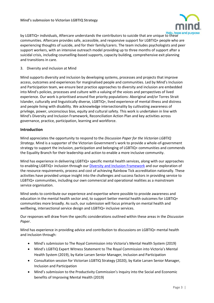

by LGBTIQ+ individuals, Aftercare understands the contributors to suicide that are unique to these communities. Aftercare provides safe, accessible, and responsive support for LGBTIQ+ people who are experiencing thoughts of suicide, and for their family/carers. The team includes psychologists and peer support workers, with an intensive outreach model providing up to three months of support after a suicidal crisis, including counselling-based supports, capacity building, comprehensive exit planning and transitions in care.

3. Diversity and inclusion at Mind

Mind supports diversity and inclusion by developing systems, processes and projects that improve access, outcomes and experiences for marginalised people and communities. Led by Mind's Inclusion and Participation team, we ensure best practice approaches to diversity and inclusion are embedded into Mind's policies, processes and culture with a valuing of the voices and perspectives of lived experience. Our work is prioritised around five priority populations: Aboriginal and/or Torres Strait Islander, culturally and linguistically diverse, LGBTIQ+, lived experience of mental illness and distress and people living with disability. We acknowledge intersectionality by cultivating awareness of privilege, power, unconscious bias, equity and cultural safety. This work is undertaken in line with Mind's Diversity and Inclusion Framework, Reconciliation Action Plan and key activities across governance, practice, participation, learning and workforce.

## **Introduction**

Mind appreciates the opportunity to respond to the *Discussion Paper for the Victorian LGBTIQ Strategy.* Mind is a supporter of the Victorian Government's work to provide a whole-of-government strategy to support the inclusion, participation and belonging of LGBTIQ+ communities and commends the Equality Branch for their leadership and action to enable a more inclusive community.

Mind has experience in delivering LGBTIQ+ specific mental health services, along with our approaches to enabling LGBTIQ+ inclusion through our *Diversity and Inclusion Framework* and our exploration of the resource requirements, process and cost of achieving Rainbow Tick accreditation nationally. These activities have provided unique insight into the challenges and success factors in providing service to LGBTIQ+ communities, including our own commercial and operational realities as a mainstream service organisation.

Mind seeks to contribute our experience and expertise where possible to provide awareness and education in the mental health sector and, to support better mental health outcomes for LGBTIQ+ communities more broadly. As such, our submission will focus primarily on mental health and wellbeing, intersectional service design and LGBTIQ+ inclusive services.

Our responses will draw from the specific considerations outlined within these areas in the *Discussion Paper*.

Mind has experience in providing advice and contribution to discussions on LGBTIQ+ mental health and inclusion through:

- Mind's submission to The Royal Commission into Victoria's Mental Health System (2019)
- Mind's LGBTIQ Expert Witness Statement to The Royal Commission into Victoria's Mental Health System (2019), by Katie Larsen Senior Manager, Inclusion and Participation
- Consultation session for Victorian LGBTIQ Strategy (2020), by Katie Larsen Senior Manager, Inclusion and Participation
- Mind's submission to the Productivity Commission's Inquiry into the Social and Economic benefits of Improving Mental Health (2019)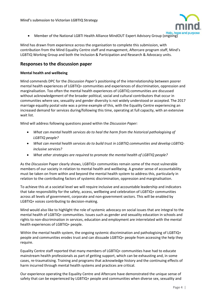

• Member of the National LGBTI Health Alliance MindOUT Expert Advisory Group (ongoing)

Mind has drawn from experience across the organisation to complete this submission, with contribution from the Mind Equality Centre staff and management, Aftercare program staff, Mind's LGBTIQ Working Group and both the Inclusion & Participation and Research & Advocacy units.

## **Responses to the discussion paper**

#### **Mental health and wellbeing**

Mind commends DPC for the *Discussion Paper's* positioning of the interrelationship between poorer mental health experiences of LGBTIQ+ communities and experiences of discrimination, oppression and marginalisation. Too often the mental health experiences of LGBTIQ communities are discussed without acknowledgement of the broader political, social and cultural contributors that occur in communities where sex, sexuality and gender diversity is not widely understood or accepted. The 2017 marriage equality postal vote was a prime example of this, with the Equality Centre experiencing an increased demand for services during/following this time, operating at full capacity, with an extensive wait list.

Mind will address following questions posed within the *Discussion Paper:*

- *What can mental health services do to heal the harm from the historical pathologising of LGBTIQ people?*
- *What can mental health services do to build trust in LGBTIQ communities and develop LGBTIQinclusive services?*
- *What other strategies are required to promote the mental health of LGBTIQ people?*

As the *Discussion* Paper clearly shows, LGBTIQ+ communities remain some of the most vulnerable members of our society in relation to mental health and wellbeing. A greater sense of accountability must be taken on from within and beyond the mental health system to address this, particularly in relation to the contributing factors of systemic discrimination, oppression and marginalisation.

To achieve this at a societal level we will require inclusive and accountable leadership and indicators that take responsibility for the safety, access, wellbeing and celebration of LGBTIQ+ communities across all levels of government, corporate and non-government sectors. This will be enabled by LGBTIQ+ voices contributing to decision-making.

Mind would also like to highlight the role of systemic advocacy on social issues that are integral to the mental health of LGBTIQ+ communities. Issues such as gender and sexuality education in schools and rights to non-discrimination in services, education and employment are interrelated with the mental health experiences of LGBTIQ+ people.

Within the mental health system, the ongoing systemic discrimination and pathologising of LGBTIQ+ people and communities erodes trust and can dissuade LGBTIQ+ people from accessing the help they require.

Equality Centre staff reported that many members of LGBTIQ+ communities have had to educate mainstream health professionals as part of getting support, which can be exhausting and, in some cases, re-traumatising. Training and programs that acknowledge history and the continuing effects of harm incurred through mental health systems and practices are critical.

Our experience operating the Equality Centre and Aftercare have demonstrated the unique sense of safety that can be experienced by LGBTIQ+ people and communities when diverse sex, sexuality and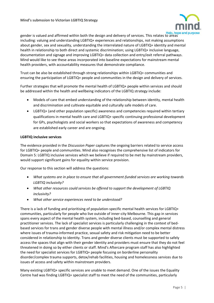

gender is valued and affirmed within both the design and delivery of services. This relates to areas including: valuing and understanding LGBTIQ+ experiences and relationships, not making assumptions about gender, sex and sexuality, understanding the interrelated nature of LGBTIQ+ identity and mental health in relationship to both direct and systemic discrimination; using LGBTIQ+ inclusive language, documentation and signage and improving LGBTIQ+ data collection and entry/exit referral pathways. Mind would like to see these areas incorporated into baseline expectations for mainstream mental health providers, with accountability measures that demonstrate compliance.

Trust can be also be established through strong relationships within LGBTIQ+ communities and ensuring the participation of LGBTIQ+ people and communities in the design and delivery of services.

Further strategies that will promote the mental health of LGBTIQ+ people within services and should be addressed within the health and wellbeing indicators of the LGBTIQ strategy include:

- Models of care that embed understanding of the relationship between identity, mental health and discrimination and cultivate equitable and culturally safe models of care.
- LGBTIQ+ (and other population specific) awareness and competencies required within tertiary qualifications in mental health care and LGBTIQ+ specific continuing professional development for GPs, psychologists and social workers so that expectations of awareness and competency are established early career and are ongoing.

### **LGBTIQ inclusive services**

The evidence provided in the *Discussion Paper* captures the ongoing barriers related to service access for LGBTIQ+ people and communities. Mind also recognises the comprehensive list of indicators for Domain 5: LGBTIQ inclusive services which we believe if required to be met by mainstream providers, would support significant gains for equality within service provision.

Our response to this section will address the questions:

- *What systems are in place to ensure that all government-funded services are working towards LGBTIQ inclusivity?*
- *What other resources could services be offered to support the development of LGBTIQ inclusivity?*
- *What other service experiences need to be understood?*

There is a lack of funding and prioritising of population-specific mental health services for LGBTIQ+ communities, particularly for people who live outside of inner-city Melbourne. This gap in services spans every aspect of the mental health system, including bed-based, counselling and general practitioner services. The lack of specialist services is particularly challenging in the context of bedbased services for trans and gender diverse people with mental illness and/or complex mental distress where issues of trauma-informed practice, sexual safety and risk mitigation need to be better considered in relationship to identity. Trans and gender diverse clients must be supported to safely access the spaces that align with their gender identity and providers must ensure that they do not feel threatened in doing so by either clients or staff. Mind's Aftercare program staff has also highlighted the need for specialist services for LGBTIQ+ people focusing on borderline personality disorder/complex trauma supports, detox/rehab facilities, housing and homelessness services due to issues of access and safety within mainstream providers.

Many existing LGBTIQ+ specific services are unable to meet demand. One of the issues the Equality Centre had was finding LGBTIQ+ specialist staff to meet the need of the communities, particularly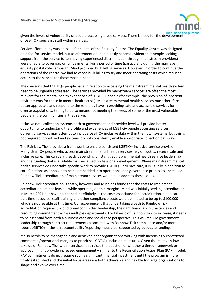

given the levels of vulnerability of people accessing these services. There is need for the development of LGBTIQ+ specialist staff within services.

Service affordability was an issue for clients of the Equality Centre. The Equality Centre was designed on a fee-for-service model, but as aforementioned, it quickly became evident that people seeking support from the service (often having experienced discrimination through mainstream providers) were unable to cover gap or full payments. For a period of time (particularly during the marriage equality postal vote campaign) Mind provided bulk billing services. However, in order to continue the operations of the centre, we had to cease bulk billing to try and meet operating costs which reduced access to the service for those most in need.

The concerns that LGBTIQ+ people have in relation to accessing the mainstream mental health system need to be urgently addressed. The services provided by mainstream services are often the most relevant for the mental health experience of LGBTIQ+ people (for example, the provision of inpatient environments for those in mental health crisis). Mainstream mental health services must therefore better appreciate and respond to the role they have in providing safe and accessible services for diverse populations. Failing to do so means not meeting the needs of some of the most vulnerable people in the communities in they serve.

Inclusive data collection systems both at government and provider level will provide better opportunity to understand the profile and experiences of LGBTIQ+ people accessing services. Currently, services may attempt to include LGBTIQ+ inclusive data within their own systems, but this is not required, prioritised and systems do not consistently enable appropriate collection pathways.

The Rainbow Tick provides a framework to ensure consistent LGBTIQ+ inclusive service provision. Many LGBTIQ+ people who access mainstream mental health services rely on luck to receive safe and inclusive care. This can vary greatly depending on staff, geography, mental health service leadership and the funding that is available for specialised professional development. Where mainstream mental health services do undertake specific work to provide LGBTIQ+ inclusive care, it is usually in addition to core functions as opposed to being embedded into operational and governance processes. Increased Rainbow Tick accreditation of mainstream services would help address these issues.

Rainbow Tick accreditation is costly, however and Mind has found that the costs to implement accreditation are not feasible while operating on thin margins. Mind was initially seeking accreditation in March 2021 but have postponed indefinitely as the costs associated for accreditation, a dedicated part time resource, staff training and other compliance costs were estimated to be up to \$100,000 which is not feasible at this time. Our experience is that undertaking a path to Rainbow Tick accreditation requires unconditional committed leadership, the right financial circumstances and resourcing commitment across multiple departments. For take-up of Rainbow Tick to increase, it needs to be essential from both a business case and social case perspective. This will require government leadership through contract requirements associated with Rainbow Tick compliance and/or more robust LGBTIQ+ inclusion accountability/reporting measures, supported by adequate funding.

It also needs to be manageable and achievable for organisations working with increasingly constricted commercial/operational margins to prioritise LGBTIQ+ inclusion measures. Given the relatively low take up of Rainbow Tick within services, this raises the question of whether a tiered framework or approach might provide increased engagement – similar to the Reconciliation Action Plan (RAP) model. RAP commitments do not require such a significant financial investment until the program is more firmly established and the initial focus areas are both achievable and flexible for large organisations to shape and evolve over time.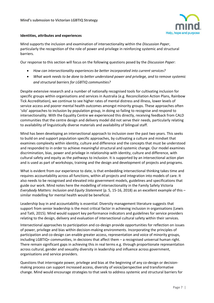

### **Identities, attributes and experiences**

Mind supports the inclusion and examination of intersectionality within the *Discussion Paper*, particularly the recognition of the role of power and privilege in reinforcing systemic and structural barriers.

Our response to this section will focus on the following questions posed by the *Discussion Paper*:

- *How can intersectionality experiences be better incorporated into current services?*
- *What work needs to be done to better understand power and privilege, and to remove systemic and structural barriers for LGBTIQ communities?*

Despite extensive research and a number of nationally recognised tools for cultivating inclusion for specific groups within organisations and services in Australia (e.g. Reconciliation Action Plans, Rainbow Tick Accreditation), we continue to see higher rates of mental distress and illness, lower levels of service access and poorer mental health outcomes amongst minority groups. These approaches often 'silo' approaches to inclusion by population group, in doing so failing to recognise and respond to intersectionality. With the Equality Centre we experienced this directly, receiving feedback from CALD communities that the centre design and delivery model did not serve their needs, particularly relating to availability of linguistically diverse materials and availability of bilingual staff.

Mind has been developing an intersectional approach to inclusion over the past two years. This seeks to build on and support population specific approaches, by cultivating a culture and mindset that examines complexity within identity, culture and difference and the concepts that must be understood and responded to in order to achieve meaningful structural and systemic change. Our model examines discrimination, bias, power and privilege in relationship with identity, culture and difference, with cultural safety and equity as the pathways to inclusion. It is supported by an intersectional action plan and is used as part of workshops, training and the design and development of projects and programs.

What is evident from our experience to date, is that embedding intersectional thinking takes time and requires accountability across all functions, within all projects and integration into models of care. It also needs to be recognised and elevated into government models, guidelines and specifications that guide our work. Mind notes here the modelling of intersectionality in the Family Safety Victoria *Everybody Matters: Inclusion and Equity Statement* (p. 5, 15-16, 2018) as an excellent example of this – similar modelling for mental health would be beneficial.

Leadership buy in and accountability is essential. Diversity management literature suggests that support from senior leadership is the most critical factor in achieving inclusion in organisations (Lewis and Tatli, 2015). Mind would support key performance indicators and guidelines for service providers relating to the design, delivery and evaluation of intersectional cultural safety within their services.

Intersectional approaches to participation and co-design provide opportunities for reflection on issues of power, privilege and bias within decision-making environments. Incorporating the principles of participation and co-design can enable greater access, representation and voice of minority groups, including LGBTIQ+ communities, in decisions that affect them – a recognised universal human right. There remain significant gaps in achieving this in real terms e.g. through proportionate representation across cultural, gender and sexuality diversity in leadership and influence across government, organisations and service providers.

Questions that interrogate power, privilege and bias at the beginning of any co-design or decisionmaking process can support increased access, diversity of voice/perspective and transformative change. Mind would encourage strategies to that seek to address systemic and structural barriers for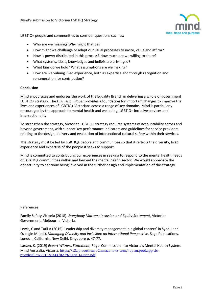

LGBTIQ+ people and communities to consider questions such as:

- Who are we missing? Why might that be?
- How might we challenge or adapt our usual processes to invite, value and affirm?
- How is power distributed in this process? How much are we willing to share?
- What systems, ideas, knowledges and beliefs are privileged?
- What bias do we hold? What assumptions are we making?
- How are we valuing lived experience, both as expertise and through recognition and renumeration for contribution?

#### **Conclusion**

Mind encourages and endorses the work of the Equality Branch in delivering a whole of government LGBTIQ+ strategy. The *Discussion Paper* provides a foundation for important changes to improve the lives and experiences of LGBTIQ+ Victorians across a range of key domains. Mind is particularly encouraged by the approach to mental health and wellbeing, LGBTIQ+ inclusive services and intersectionality.

To strengthen the strategy, Victorian LGBTIQ+ strategy requires systems of accountability across and beyond government, with support key performance indicators and guidelines for service providers relating to the design, delivery and evaluation of intersectional cultural safety within their services.

The strategy must be led by LGBTIQ+ people and communities so that it reflects the diversity, lived experience and expertise of the people it seeks to support.

Mind is committed to contributing our experiences in seeking to respond to the mental health needs of LGBTIQ+ communities within and beyond the mental health sector. We would appreciate the opportunity to continue being involved in the further design and implementation of the strategy.

#### References

Family Safety Victoria (2018). *Everybody Matters: Inclusion and Equity Statement*, Victorian Government, Melbourne, Victoria.

Lewis, C and Tatli A (2015) 'Leadership and diversity management in a global context' in Syed J and Ozbilgin M (ed.), *Managing Diversity and Inclusion: an International Perspective.* Sage Publications, London, California, New Delhi, Singapore p. 47-77.

Larsen, K. (2019) *Expert Witness Statement*, Royal Commission into Victoria's Mental Health System. Mind Australia, Victoria. [https://s3.ap-southeast-2.amazonaws.com/hdp.au.prod.app.vic](https://s3.ap-southeast-2.amazonaws.com/hdp.au.prod.app.vic-rcvmhs.files/2615/6343/0279/Katie_Larsen.pdf)[rcvmhs.files/2615/6343/0279/Katie\\_Larsen.pdf](https://s3.ap-southeast-2.amazonaws.com/hdp.au.prod.app.vic-rcvmhs.files/2615/6343/0279/Katie_Larsen.pdf)